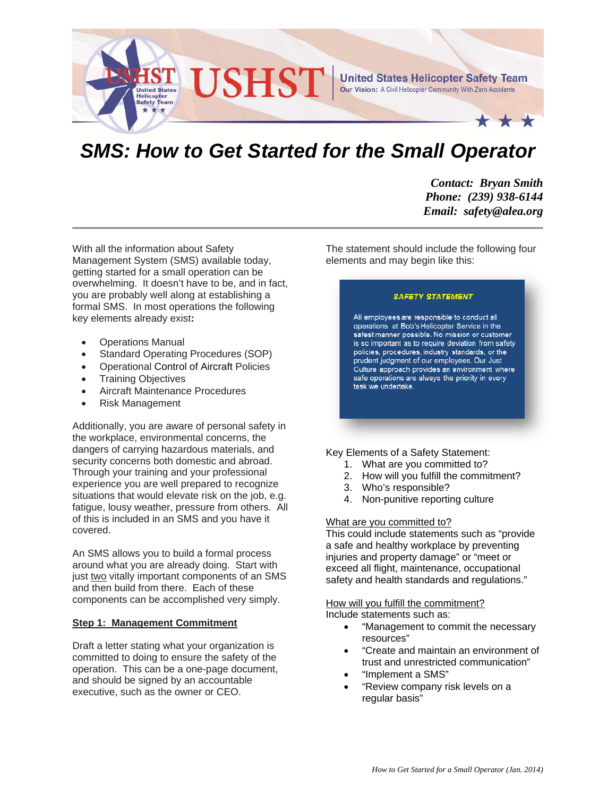

# **SMS: How to Get Started for the Small Operator**

*Contact: Bryan Smith Phone: (239) 938-6144 Email: safety@alea.org* 

With all the information about Safety Management System (SMS) available today, getting started for a small operation can be overwhelming. It doesn't have to be, and in fact, you are probably well along at establishing a formal SMS. In most operations the following key elements already exist**:** 

- Operations Manual
- Standard Operating Procedures (SOP)
- Operational Control of Aircraft Policies
- Training Objectives
- Aircraft Maintenance Procedures
- Risk Management

Additionally, you are aware of personal safety in the workplace, environmental concerns, the dangers of carrying hazardous materials, and security concerns both domestic and abroad. Through your training and your professional experience you are well prepared to recognize situations that would elevate risk on the job, e.g. fatigue, lousy weather, pressure from others. All of this is included in an SMS and you have it covered.

An SMS allows you to build a formal process around what you are already doing. Start with just two vitally important components of an SMS and then build from there. Each of these components can be accomplished very simply.

#### **Step 1: Management Commitment**

Draft a letter stating what your organization is committed to doing to ensure the safety of the operation. This can be a one-page document, and should be signed by an accountable executive, such as the owner or CEO.

The statement should include the following four elements and may begin like this:

#### **SAFETY STATEMENT**

All employees are responsible to conduct all operations at Bob's Helicopter Service in the safest manner possible. No mission or customer is so important as to require deviation from safety policies, procedures, industry standards, or the prudent judgment of our employees. Our Just Culture approach provides an environment where safe operations are always the priority in every task we undertake.

### Key Elements of a Safety Statement:

- 1. What are you committed to?
- 2. How will you fulfill the commitment?
- 3. Who's responsible?
- 4. Non-punitive reporting culture

#### What are you committed to?

This could include statements such as "provide a safe and healthy workplace by preventing injuries and property damage" or "meet or exceed all flight, maintenance, occupational safety and health standards and regulations."

How will you fulfill the commitment? Include statements such as:

- "Management to commit the necessary resources"
- "Create and maintain an environment of trust and unrestricted communication"
- "Implement a SMS"
- "Review company risk levels on a regular basis"